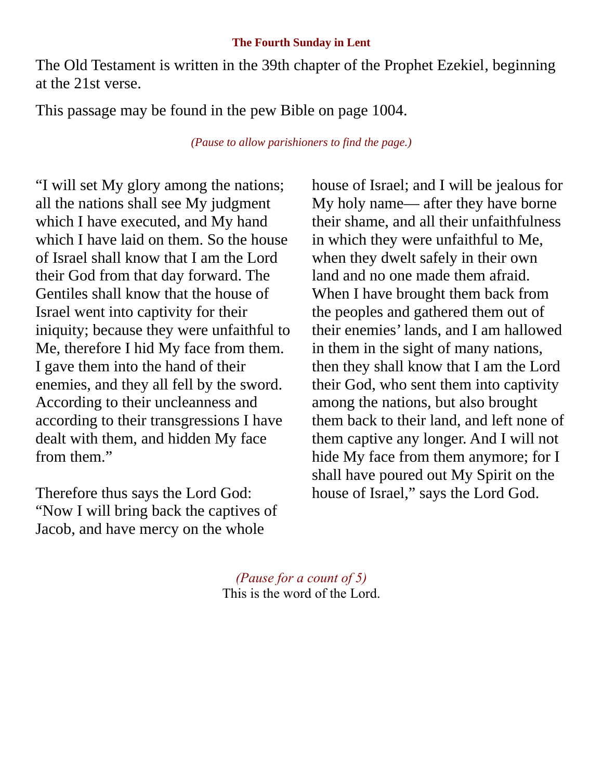## **The Fourth Sunday in Lent**

The Old Testament is written in the 39th chapter of the Prophet Ezekiel, beginning at the 21st verse.

This passage may be found in the pew Bible on page 1004.

*(Pause to allow parishioners to find the page.)*

"I will set My glory among the nations; all the nations shall see My judgment which I have executed, and My hand which I have laid on them. So the house of Israel shall know that I am the Lord their God from that day forward. The Gentiles shall know that the house of Israel went into captivity for their iniquity; because they were unfaithful to Me, therefore I hid My face from them. I gave them into the hand of their enemies, and they all fell by the sword. According to their uncleanness and according to their transgressions I have dealt with them, and hidden My face from them."

Therefore thus says the Lord God: "Now I will bring back the captives of Jacob, and have mercy on the whole

house of Israel; and I will be jealous for My holy name— after they have borne their shame, and all their unfaithfulness in which they were unfaithful to Me, when they dwelt safely in their own land and no one made them afraid. When I have brought them back from the peoples and gathered them out of their enemies' lands, and I am hallowed in them in the sight of many nations, then they shall know that I am the Lord their God, who sent them into captivity among the nations, but also brought them back to their land, and left none of them captive any longer. And I will not hide My face from them anymore; for I shall have poured out My Spirit on the house of Israel," says the Lord God.

*(Pause for a count of 5)* This is the word of the Lord.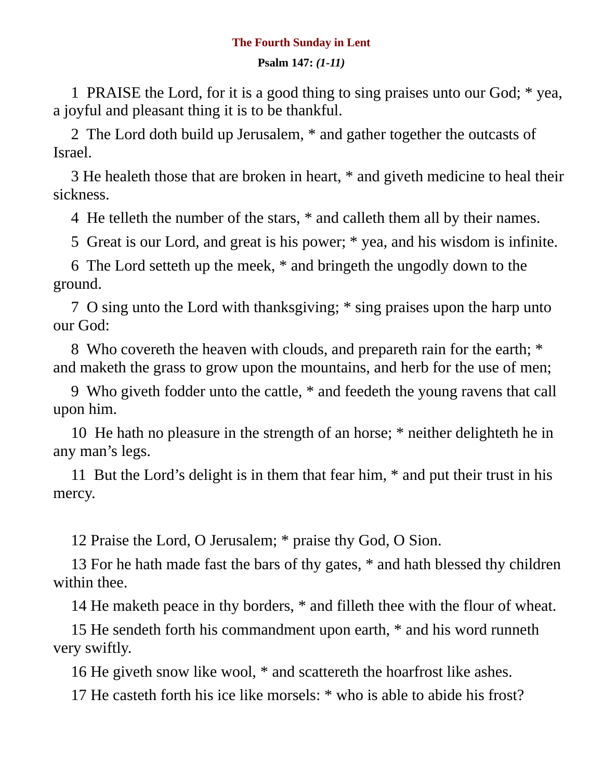## **The Fourth Sunday in Lent**

## **Psalm 147:** *(1-11)*

1 PRAISE the Lord, for it is a good thing to sing praises unto our God; \* yea, a joyful and pleasant thing it is to be thankful.

2 The Lord doth build up Jerusalem, \* and gather together the outcasts of Israel.

3 He healeth those that are broken in heart, \* and giveth medicine to heal their sickness.

4 He telleth the number of the stars, \* and calleth them all by their names.

5 Great is our Lord, and great is his power; \* yea, and his wisdom is infinite.

6 The Lord setteth up the meek, \* and bringeth the ungodly down to the ground.

7 O sing unto the Lord with thanksgiving; \* sing praises upon the harp unto our God:

8 Who covereth the heaven with clouds, and prepareth rain for the earth; \* and maketh the grass to grow upon the mountains, and herb for the use of men;

9 Who giveth fodder unto the cattle, \* and feedeth the young ravens that call upon him.

10 He hath no pleasure in the strength of an horse; \* neither delighteth he in any man's legs.

11 But the Lord's delight is in them that fear him, \* and put their trust in his mercy.

12 Praise the Lord, O Jerusalem; \* praise thy God, O Sion.

13 For he hath made fast the bars of thy gates,  $*$  and hath blessed thy children within thee.

14 He maketh peace in thy borders, \* and filleth thee with the flour of wheat.

15 He sendeth forth his commandment upon earth, \* and his word runneth very swiftly.

16 He giveth snow like wool, \* and scattereth the hoarfrost like ashes.

17 He casteth forth his ice like morsels: \* who is able to abide his frost?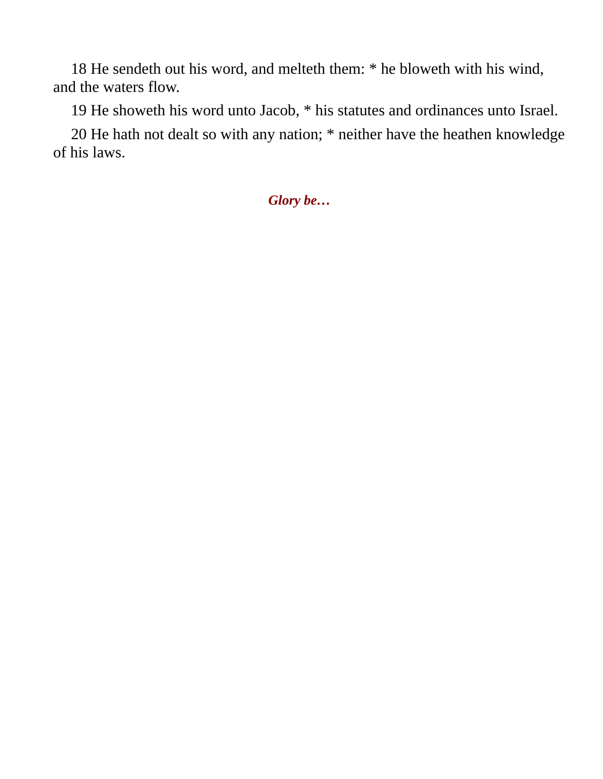18 He sendeth out his word, and melteth them: \* he bloweth with his wind, and the waters flow.

19 He showeth his word unto Jacob, \* his statutes and ordinances unto Israel.

20 He hath not dealt so with any nation; \* neither have the heathen knowledge of his laws.

*Glory be…*